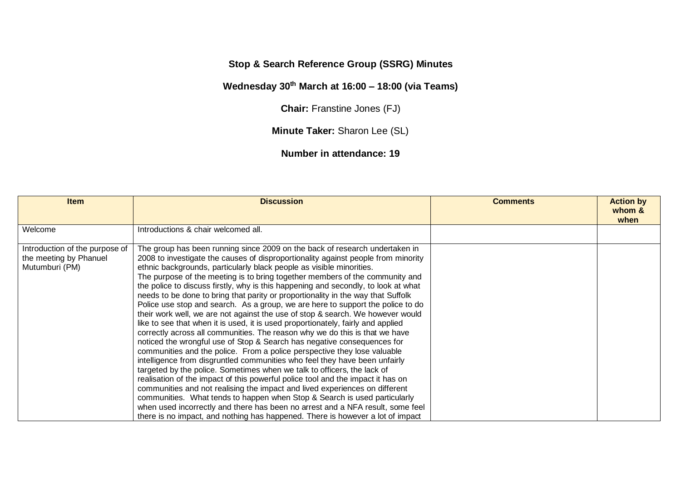## **Stop & Search Reference Group (SSRG) Minutes**

## **Wednesday 30th March at 16:00 – 18:00 (via Teams)**

**Chair:** Franstine Jones (FJ)

**Minute Taker:** Sharon Lee (SL)

**Number in attendance: 19**

| <b>Item</b>                                                                | <b>Discussion</b>                                                                                                                                                                                                                                                                                                                                                                                                                                                                                                                                                                                                                                                                                                                                                                                                                                                                                                                                                                                                                                                                                                                                                                                                                                                                                                                                                                                                                                                                                                                                                             | <b>Comments</b> | <b>Action by</b><br>whom &<br>when |
|----------------------------------------------------------------------------|-------------------------------------------------------------------------------------------------------------------------------------------------------------------------------------------------------------------------------------------------------------------------------------------------------------------------------------------------------------------------------------------------------------------------------------------------------------------------------------------------------------------------------------------------------------------------------------------------------------------------------------------------------------------------------------------------------------------------------------------------------------------------------------------------------------------------------------------------------------------------------------------------------------------------------------------------------------------------------------------------------------------------------------------------------------------------------------------------------------------------------------------------------------------------------------------------------------------------------------------------------------------------------------------------------------------------------------------------------------------------------------------------------------------------------------------------------------------------------------------------------------------------------------------------------------------------------|-----------------|------------------------------------|
| Welcome                                                                    | Introductions & chair welcomed all.                                                                                                                                                                                                                                                                                                                                                                                                                                                                                                                                                                                                                                                                                                                                                                                                                                                                                                                                                                                                                                                                                                                                                                                                                                                                                                                                                                                                                                                                                                                                           |                 |                                    |
| Introduction of the purpose of<br>the meeting by Phanuel<br>Mutumburi (PM) | The group has been running since 2009 on the back of research undertaken in<br>2008 to investigate the causes of disproportionality against people from minority<br>ethnic backgrounds, particularly black people as visible minorities.<br>The purpose of the meeting is to bring together members of the community and<br>the police to discuss firstly, why is this happening and secondly, to look at what<br>needs to be done to bring that parity or proportionality in the way that Suffolk<br>Police use stop and search. As a group, we are here to support the police to do<br>their work well, we are not against the use of stop & search. We however would<br>like to see that when it is used, it is used proportionately, fairly and applied<br>correctly across all communities. The reason why we do this is that we have<br>noticed the wrongful use of Stop & Search has negative consequences for<br>communities and the police. From a police perspective they lose valuable<br>intelligence from disgruntled communities who feel they have been unfairly<br>targeted by the police. Sometimes when we talk to officers, the lack of<br>realisation of the impact of this powerful police tool and the impact it has on<br>communities and not realising the impact and lived experiences on different<br>communities. What tends to happen when Stop & Search is used particularly<br>when used incorrectly and there has been no arrest and a NFA result, some feel<br>there is no impact, and nothing has happened. There is however a lot of impact |                 |                                    |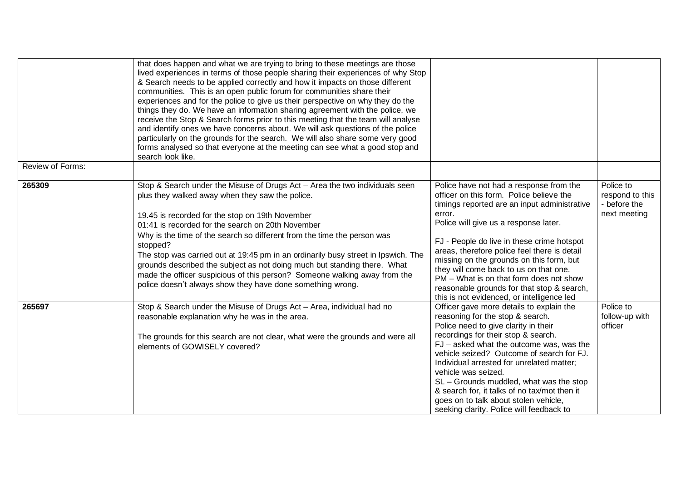|                         | that does happen and what we are trying to bring to these meetings are those<br>lived experiences in terms of those people sharing their experiences of why Stop<br>& Search needs to be applied correctly and how it impacts on those different<br>communities. This is an open public forum for communities share their<br>experiences and for the police to give us their perspective on why they do the<br>things they do. We have an information sharing agreement with the police, we<br>receive the Stop & Search forms prior to this meeting that the team will analyse<br>and identify ones we have concerns about. We will ask questions of the police<br>particularly on the grounds for the search. We will also share some very good<br>forms analysed so that everyone at the meeting can see what a good stop and<br>search look like. |                                                                                                                                                                                                                                                                                                                                                                                                                                                                                                                   |                                                              |
|-------------------------|-------------------------------------------------------------------------------------------------------------------------------------------------------------------------------------------------------------------------------------------------------------------------------------------------------------------------------------------------------------------------------------------------------------------------------------------------------------------------------------------------------------------------------------------------------------------------------------------------------------------------------------------------------------------------------------------------------------------------------------------------------------------------------------------------------------------------------------------------------|-------------------------------------------------------------------------------------------------------------------------------------------------------------------------------------------------------------------------------------------------------------------------------------------------------------------------------------------------------------------------------------------------------------------------------------------------------------------------------------------------------------------|--------------------------------------------------------------|
| <b>Review of Forms:</b> |                                                                                                                                                                                                                                                                                                                                                                                                                                                                                                                                                                                                                                                                                                                                                                                                                                                       |                                                                                                                                                                                                                                                                                                                                                                                                                                                                                                                   |                                                              |
| 265309                  | Stop & Search under the Misuse of Drugs Act - Area the two individuals seen<br>plus they walked away when they saw the police.<br>19.45 is recorded for the stop on 19th November<br>01:41 is recorded for the search on 20th November<br>Why is the time of the search so different from the time the person was<br>stopped?<br>The stop was carried out at 19:45 pm in an ordinarily busy street in Ipswich. The<br>grounds described the subject as not doing much but standing there. What<br>made the officer suspicious of this person? Someone walking away from the<br>police doesn't always show they have done something wrong.                                                                                                                                                                                                             | Police have not had a response from the<br>officer on this form. Police believe the<br>timings reported are an input administrative<br>error.<br>Police will give us a response later.<br>FJ - People do live in these crime hotspot<br>areas, therefore police feel there is detail<br>missing on the grounds on this form, but<br>they will come back to us on that one.<br>PM - What is on that form does not show<br>reasonable grounds for that stop & search,<br>this is not evidenced, or intelligence led | Police to<br>respond to this<br>- before the<br>next meeting |
| 265697                  | Stop & Search under the Misuse of Drugs Act - Area, individual had no<br>reasonable explanation why he was in the area.<br>The grounds for this search are not clear, what were the grounds and were all<br>elements of GOWISELY covered?                                                                                                                                                                                                                                                                                                                                                                                                                                                                                                                                                                                                             | Officer gave more details to explain the<br>reasoning for the stop & search.<br>Police need to give clarity in their<br>recordings for their stop & search.<br>FJ - asked what the outcome was, was the<br>vehicle seized? Outcome of search for FJ.<br>Individual arrested for unrelated matter;<br>vehicle was seized.<br>SL - Grounds muddled, what was the stop<br>& search for, it talks of no tax/mot then it<br>goes on to talk about stolen vehicle,<br>seeking clarity. Police will feedback to          | Police to<br>follow-up with<br>officer                       |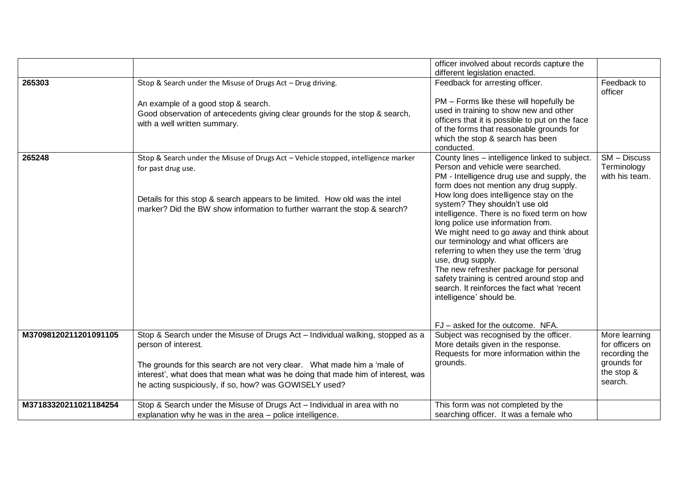|                       |                                                                                    | officer involved about records capture the                                        |                 |
|-----------------------|------------------------------------------------------------------------------------|-----------------------------------------------------------------------------------|-----------------|
|                       |                                                                                    | different legislation enacted.                                                    |                 |
| 265303                | Stop & Search under the Misuse of Drugs Act - Drug driving.                        | Feedback for arresting officer.                                                   | Feedback to     |
|                       |                                                                                    |                                                                                   | officer         |
|                       | An example of a good stop & search.                                                | PM - Forms like these will hopefully be                                           |                 |
|                       | Good observation of antecedents giving clear grounds for the stop & search,        | used in training to show new and other                                            |                 |
|                       | with a well written summary.                                                       | officers that it is possible to put on the face                                   |                 |
|                       |                                                                                    | of the forms that reasonable grounds for<br>which the stop & search has been      |                 |
|                       |                                                                                    | conducted.                                                                        |                 |
| 265248                | Stop & Search under the Misuse of Drugs Act - Vehicle stopped, intelligence marker | County lines - intelligence linked to subject.                                    | SM - Discuss    |
|                       | for past drug use.                                                                 | Person and vehicle were searched.                                                 | Terminology     |
|                       |                                                                                    | PM - Intelligence drug use and supply, the                                        | with his team.  |
|                       |                                                                                    | form does not mention any drug supply.                                            |                 |
|                       | Details for this stop & search appears to be limited. How old was the intel        | How long does intelligence stay on the                                            |                 |
|                       | marker? Did the BW show information to further warrant the stop & search?          | system? They shouldn't use old                                                    |                 |
|                       |                                                                                    | intelligence. There is no fixed term on how                                       |                 |
|                       |                                                                                    | long police use information from.                                                 |                 |
|                       |                                                                                    | We might need to go away and think about<br>our terminology and what officers are |                 |
|                       |                                                                                    | referring to when they use the term 'drug                                         |                 |
|                       |                                                                                    | use, drug supply.                                                                 |                 |
|                       |                                                                                    | The new refresher package for personal                                            |                 |
|                       |                                                                                    | safety training is centred around stop and                                        |                 |
|                       |                                                                                    | search. It reinforces the fact what 'recent                                       |                 |
|                       |                                                                                    | intelligence' should be.                                                          |                 |
|                       |                                                                                    |                                                                                   |                 |
|                       |                                                                                    | FJ - asked for the outcome. NFA.                                                  |                 |
| M37098120211201091105 | Stop & Search under the Misuse of Drugs Act - Individual walking, stopped as a     | Subject was recognised by the officer.                                            | More learning   |
|                       | person of interest.                                                                | More details given in the response.                                               | for officers on |
|                       |                                                                                    | Requests for more information within the                                          | recording the   |
|                       | The grounds for this search are not very clear. What made him a 'male of           | grounds.                                                                          | grounds for     |
|                       | interest', what does that mean what was he doing that made him of interest, was    |                                                                                   | the stop &      |
|                       | he acting suspiciously, if so, how? was GOWISELY used?                             |                                                                                   | search.         |
| M37183320211021184254 | Stop & Search under the Misuse of Drugs Act - Individual in area with no           | This form was not completed by the                                                |                 |
|                       | explanation why he was in the area - police intelligence.                          | searching officer. It was a female who                                            |                 |
|                       |                                                                                    |                                                                                   |                 |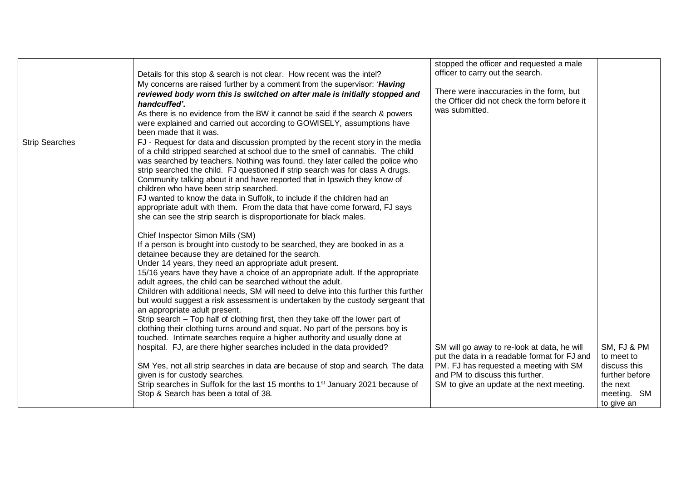|                       | Details for this stop & search is not clear. How recent was the intel?<br>My concerns are raised further by a comment from the supervisor: 'Having<br>reviewed body worn this is switched on after male is initially stopped and<br>handcuffed'.<br>As there is no evidence from the BW it cannot be said if the search & powers<br>were explained and carried out according to GOWISELY, assumptions have<br>been made that it was.                                                                                                                                                                                                                                                                                                                                                                                                          | stopped the officer and requested a male<br>officer to carry out the search.<br>There were inaccuracies in the form, but<br>the Officer did not check the form before it<br>was submitted.                            |                                                                                                      |
|-----------------------|-----------------------------------------------------------------------------------------------------------------------------------------------------------------------------------------------------------------------------------------------------------------------------------------------------------------------------------------------------------------------------------------------------------------------------------------------------------------------------------------------------------------------------------------------------------------------------------------------------------------------------------------------------------------------------------------------------------------------------------------------------------------------------------------------------------------------------------------------|-----------------------------------------------------------------------------------------------------------------------------------------------------------------------------------------------------------------------|------------------------------------------------------------------------------------------------------|
| <b>Strip Searches</b> | FJ - Request for data and discussion prompted by the recent story in the media<br>of a child stripped searched at school due to the smell of cannabis. The child<br>was searched by teachers. Nothing was found, they later called the police who<br>strip searched the child. FJ questioned if strip search was for class A drugs.<br>Community talking about it and have reported that in Ipswich they know of<br>children who have been strip searched.<br>FJ wanted to know the data in Suffolk, to include if the children had an<br>appropriate adult with them. From the data that have come forward, FJ says<br>she can see the strip search is disproportionate for black males.                                                                                                                                                     |                                                                                                                                                                                                                       |                                                                                                      |
|                       | Chief Inspector Simon Mills (SM)<br>If a person is brought into custody to be searched, they are booked in as a<br>detainee because they are detained for the search.<br>Under 14 years, they need an appropriate adult present.<br>15/16 years have they have a choice of an appropriate adult. If the appropriate<br>adult agrees, the child can be searched without the adult.<br>Children with additional needs, SM will need to delve into this further this further<br>but would suggest a risk assessment is undertaken by the custody sergeant that<br>an appropriate adult present.<br>Strip search – Top half of clothing first, then they take off the lower part of<br>clothing their clothing turns around and squat. No part of the persons boy is<br>touched. Intimate searches require a higher authority and usually done at |                                                                                                                                                                                                                       |                                                                                                      |
|                       | hospital. FJ, are there higher searches included in the data provided?<br>SM Yes, not all strip searches in data are because of stop and search. The data<br>given is for custody searches.<br>Strip searches in Suffolk for the last 15 months to 1 <sup>st</sup> January 2021 because of<br>Stop & Search has been a total of 38.                                                                                                                                                                                                                                                                                                                                                                                                                                                                                                           | SM will go away to re-look at data, he will<br>put the data in a readable format for FJ and<br>PM. FJ has requested a meeting with SM<br>and PM to discuss this further.<br>SM to give an update at the next meeting. | SM, FJ & PM<br>to meet to<br>discuss this<br>further before<br>the next<br>meeting. SM<br>to give an |